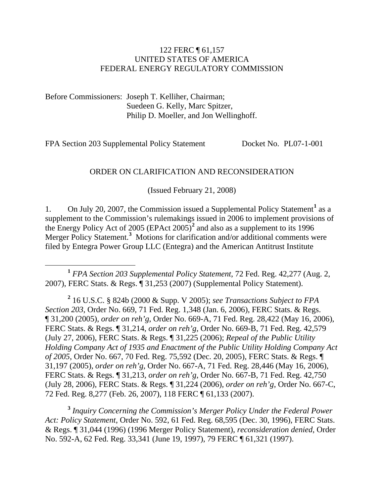#### 122 FERC ¶ 61,157 UNITED STATES OF AMERICA FEDERAL ENERGY REGULATORY COMMISSION

Before Commissioners: Joseph T. Kelliher, Chairman; Suedeen G. Kelly, Marc Spitzer, Philip D. Moeller, and Jon Wellinghoff.

FPA Section 203 Supplemental Policy Statement Docket No. PL07-1-001

#### ORDER ON CLARIFICATION AND RECONSIDERATION

(Issued February 21, 2008)

[1](#page-0-0). On July 20, 2007, the Commission issued a Supplemental Policy Statement<sup>1</sup> as a supplement to the Commission's rulemakings issued in 2006 to implement provisions of the Energy Policy Act of 2005 (EPAct 2005)**[2](#page-0-1)** and also as a supplement to its 1996 Merger Policy Statement.**[3](#page-0-2)** Motions for clarification and/or additional comments were filed by Entegra Power Group LLC (Entegra) and the American Antitrust Institute

<span id="page-0-0"></span> **<sup>1</sup>** *FPA Section 203 Supplemental Policy Statement*, 72 Fed. Reg. 42,277 (Aug. 2, 2007), FERC Stats. & Regs. ¶ 31,253 (2007) (Supplemental Policy Statement).

<span id="page-0-1"></span>**2** 16 U.S.C. § 824b (2000 & Supp. V 2005); *see Transactions Subject to FPA Section 203*, Order No. 669, 71 Fed. Reg. 1,348 (Jan. 6, 2006), FERC Stats. & Regs. ¶ 31,200 (2005), *order on reh'g*, Order No. 669-A, 71 Fed. Reg. 28,422 (May 16, 2006), FERC Stats. & Regs. ¶ 31,214, *order on reh'g*, Order No. 669-B, 71 Fed. Reg. 42,579 (July 27, 2006), FERC Stats. & Regs. ¶ 31,225 (2006); *Repeal of the Public Utility Holding Company Act of 1935 and Enactment of the Public Utility Holding Company Act of 2005*, Order No. 667, 70 Fed. Reg. 75,592 (Dec. 20, 2005), FERC Stats. & Regs. ¶ 31,197 (2005), *order on reh'g*, Order No. 667-A, 71 Fed. Reg. 28,446 (May 16, 2006), FERC Stats. & Regs. ¶ 31,213, *order on reh'g*, Order No. 667-B, 71 Fed. Reg. 42,750 (July 28, 2006), FERC Stats. & Regs. ¶ 31,224 (2006), *order on reh'g*, Order No. 667-C, 72 Fed. Reg. 8,277 (Feb. 26, 2007), 118 FERC ¶ 61,133 (2007).

<span id="page-0-2"></span>**<sup>3</sup>** *Inquiry Concerning the Commission's Merger Policy Under the Federal Power Act: Policy Statement*, Order No. 592, 61 Fed. Reg. 68,595 (Dec. 30, 1996), FERC Stats. & Regs. ¶ 31,044 (1996) (1996 Merger Policy Statement), *reconsideration denied*, Order No. 592-A, 62 Fed. Reg. 33,341 (June 19, 1997), 79 FERC ¶ 61,321 (1997).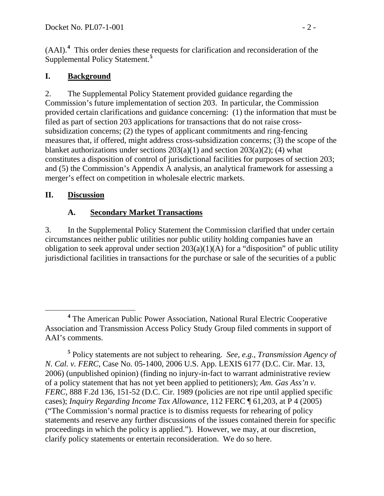(AAI).**[4](#page-1-0)** This order denies these requests for clarification and reconsideration of the Supplemental Policy Statement.**[5](#page-1-1)**

### **I. Background**

2. The Supplemental Policy Statement provided guidance regarding the Commission's future implementation of section 203. In particular, the Commission provided certain clarifications and guidance concerning: (1) the information that must be filed as part of section 203 applications for transactions that do not raise crosssubsidization concerns; (2) the types of applicant commitments and ring-fencing measures that, if offered, might address cross-subsidization concerns; (3) the scope of the blanket authorizations under sections  $203(a)(1)$  and section  $203(a)(2)$ ; (4) what constitutes a disposition of control of jurisdictional facilities for purposes of section 203; and (5) the Commission's Appendix A analysis, an analytical framework for assessing a merger's effect on competition in wholesale electric markets.

## **II. Discussion**

# **A. Secondary Market Transactions**

3. In the Supplemental Policy Statement the Commission clarified that under certain circumstances neither public utilities nor public utility holding companies have an obligation to seek approval under section  $203(a)(1)(A)$  for a "disposition" of public utility jurisdictional facilities in transactions for the purchase or sale of the securities of a public

<span id="page-1-0"></span>**<sup>4</sup>** The American Public Power Association, National Rural Electric Cooperative Association and Transmission Access Policy Study Group filed comments in support of AAI's comments.

<span id="page-1-1"></span>**<sup>5</sup>** Policy statements are not subject to rehearing. *See, e.g.*, *Transmission Agency of N. Cal. v. FERC*, Case No. 05-1400, 2006 U.S. App. LEXIS 6177 (D.C. Cir. Mar. 13, 2006) (unpublished opinion) (finding no injury-in-fact to warrant administrative review of a policy statement that has not yet been applied to petitioners); *Am. Gas Ass'n v. FERC*, 888 F.2d 136, 151-52 (D.C. Cir. 1989 (policies are not ripe until applied specific cases); *Inquiry Regarding Income Tax Allowance*, 112 FERC ¶ 61,203, at P 4 (2005) ("The Commission's normal practice is to dismiss requests for rehearing of policy statements and reserve any further discussions of the issues contained therein for specific proceedings in which the policy is applied."). However, we may, at our discretion, clarify policy statements or entertain reconsideration. We do so here.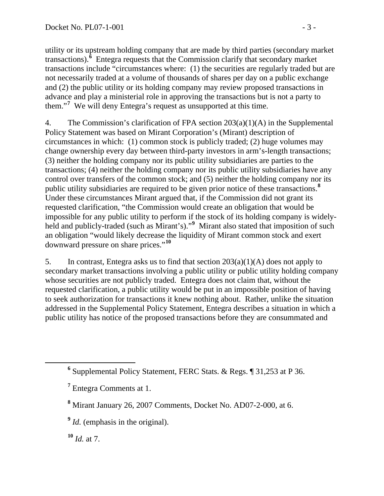utility or its upstream holding company that are made by third parties (secondary market transactions).**[6](#page-2-0)** Entegra requests that the Commission clarify that secondary market transactions include "circumstances where: (1) the securities are regularly traded but are not necessarily traded at a volume of thousands of shares per day on a public exchange and (2) the public utility or its holding company may review proposed transactions in advance and play a ministerial role in approving the transactions but is not a party to them."**[7](#page-2-1)** We will deny Entegra's request as unsupported at this time.

4. The Commission's clarification of FPA section 203(a)(1)(A) in the Supplemental Policy Statement was based on Mirant Corporation's (Mirant) description of circumstances in which: (1) common stock is publicly traded; (2) huge volumes may change ownership every day between third-party investors in arm's-length transactions; (3) neither the holding company nor its public utility subsidiaries are parties to the transactions; (4) neither the holding company nor its public utility subsidiaries have any control over transfers of the common stock; and (5) neither the holding company nor its public utility subsidiaries are required to be given prior notice of these transactions.**[8](#page-2-2)** Under these circumstances Mirant argued that, if the Commission did not grant its requested clarification, "the Commission would create an obligation that would be impossible for any public utility to perform if the stock of its holding company is widelyheld and publicly-traded (such as Mirant's)."**[9](#page-2-3)** Mirant also stated that imposition of such an obligation "would likely decrease the liquidity of Mirant common stock and exert downward pressure on share prices."**[1](#page-2-4)0**

5. In contrast, Entegra asks us to find that section 203(a)(1)(A) does not apply to secondary market transactions involving a public utility or public utility holding company whose securities are not publicly traded. Entegra does not claim that, without the requested clarification, a public utility would be put in an impossible position of having to seek authorization for transactions it knew nothing about. Rather, unlike the situation addressed in the Supplemental Policy Statement, Entegra describes a situation in which a public utility has notice of the proposed transactions before they are consummated and

<span id="page-2-4"></span>**<sup>10</sup>** *Id.* at 7.

<span id="page-2-2"></span><span id="page-2-1"></span><span id="page-2-0"></span>**<sup>6</sup>** Supplemental Policy Statement, FERC Stats. & Regs. ¶ 31,253 at P 36.

**<sup>7</sup>** Entegra Comments at 1.

**<sup>8</sup>** Mirant January 26, 2007 Comments, Docket No. AD07-2-000, at 6.

<span id="page-2-3"></span>**<sup>9</sup>** *Id.* (emphasis in the original).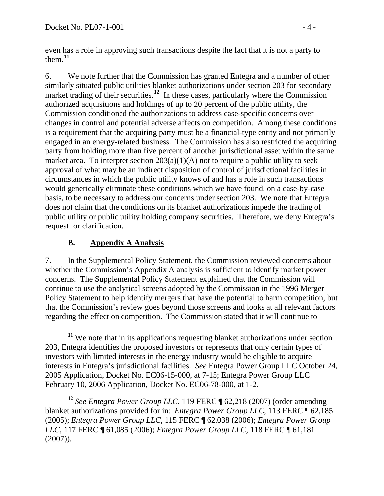even has a role in approving such transactions despite the fact that it is not a party to them. $11$  $11$ 

6. We note further that the Commission has granted Entegra and a number of other similarly situated public utilities blanket authorizations under section 203 for secondary market trading of their securities.<sup>[12](#page-3-1)</sup> In these cases, particularly where the Commission authorized acquisitions and holdings of up to 20 percent of the public utility, the Commission conditioned the authorizations to address case-specific concerns over changes in control and potential adverse affects on competition. Among these conditions is a requirement that the acquiring party must be a financial-type entity and not primarily engaged in an energy-related business. The Commission has also restricted the acquiring party from holding more than five percent of another jurisdictional asset within the same market area. To interpret section  $203(a)(1)(A)$  not to require a public utility to seek approval of what may be an indirect disposition of control of jurisdictional facilities in circumstances in which the public utility knows of and has a role in such transactions would generically eliminate these conditions which we have found, on a case-by-case basis, to be necessary to address our concerns under section 203. We note that Entegra does not claim that the conditions on its blanket authorizations impede the trading of public utility or public utility holding company securities. Therefore, we deny Entegra's request for clarification.

### **B. Appendix A Analysis**

7. In the Supplemental Policy Statement, the Commission reviewed concerns about whether the Commission's Appendix A analysis is sufficient to identify market power concerns. The Supplemental Policy Statement explained that the Commission will continue to use the analytical screens adopted by the Commission in the 1996 Merger Policy Statement to help identify mergers that have the potential to harm competition, but that the Commission's review goes beyond those screens and looks at all relevant factors regarding the effect on competition. The Commission stated that it will continue to

<span id="page-3-1"></span>**<sup>12</sup>** *See Entegra Power Group LLC*, 119 FERC ¶ 62,218 (2007) (order amending blanket authorizations provided for in: *Entegra Power Group LLC*, 113 FERC ¶ 62,185 (2005); *Entegra Power Group LLC*, 115 FERC ¶ 62,038 (2006); *Entegra Power Group LLC*, 117 FERC ¶ 61,085 (2006); *Entegra Power Group LLC*, 118 FERC ¶ 61,181 (2007)).

<span id="page-3-0"></span>**<sup>11</sup>** We note that in its applications requesting blanket authorizations under section 203, Entegra identifies the proposed investors or represents that only certain types of investors with limited interests in the energy industry would be eligible to acquire interests in Entegra's jurisdictional facilities. *See* Entegra Power Group LLC October 24, 2005 Application, Docket No. EC06-15-000, at 7-15; Entegra Power Group LLC February 10, 2006 Application, Docket No. EC06-78-000, at 1-2.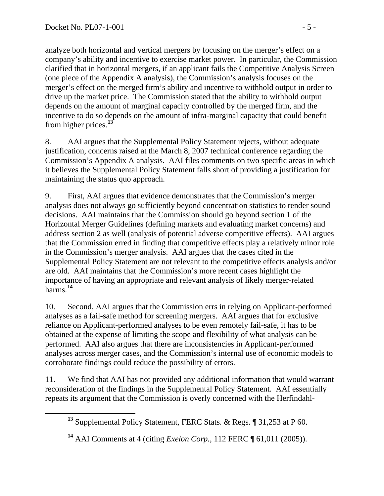analyze both horizontal and vertical mergers by focusing on the merger's effect on a company's ability and incentive to exercise market power. In particular, the Commission clarified that in horizontal mergers, if an applicant fails the Competitive Analysis Screen (one piece of the Appendix A analysis), the Commission's analysis focuses on the merger's effect on the merged firm's ability and incentive to withhold output in order to drive up the market price. The Commission stated that the ability to withhold output depends on the amount of marginal capacity controlled by the merged firm, and the incentive to do so depends on the amount of infra-marginal capacity that could benefit from higher prices.**[1](#page-4-0)3**

8. AAI argues that the Supplemental Policy Statement rejects, without adequate justification, concerns raised at the March 8, 2007 technical conference regarding the Commission's Appendix A analysis. AAI files comments on two specific areas in which it believes the Supplemental Policy Statement falls short of providing a justification for maintaining the status quo approach.

9. First, AAI argues that evidence demonstrates that the Commission's merger analysis does not always go sufficiently beyond concentration statistics to render sound decisions. AAI maintains that the Commission should go beyond section 1 of the Horizontal Merger Guidelines (defining markets and evaluating market concerns) and address section 2 as well (analysis of potential adverse competitive effects). AAI argues that the Commission erred in finding that competitive effects play a relatively minor role in the Commission's merger analysis. AAI argues that the cases cited in the Supplemental Policy Statement are not relevant to the competitive effects analysis and/or are old. AAI maintains that the Commission's more recent cases highlight the importance of having an appropriate and relevant analysis of likely merger-related harms.**[14](#page-4-1)**

10. Second, AAI argues that the Commission errs in relying on Applicant-performed analyses as a fail-safe method for screening mergers. AAI argues that for exclusive reliance on Applicant-performed analyses to be even remotely fail-safe, it has to be obtained at the expense of limiting the scope and flexibility of what analysis can be performed. AAI also argues that there are inconsistencies in Applicant-performed analyses across merger cases, and the Commission's internal use of economic models to corroborate findings could reduce the possibility of errors.

<span id="page-4-0"></span>11. We find that AAI has not provided any additional information that would warrant reconsideration of the findings in the Supplemental Policy Statement. AAI essentially repeats its argument that the Commission is overly concerned with the Herfindahl-

**<sup>13</sup>** Supplemental Policy Statement, FERC Stats. & Regs. ¶ 31,253 at P 60.

<span id="page-4-1"></span>**<sup>14</sup>** AAI Comments at 4 (citing *Exelon Corp.*, 112 FERC ¶ 61,011 (2005)).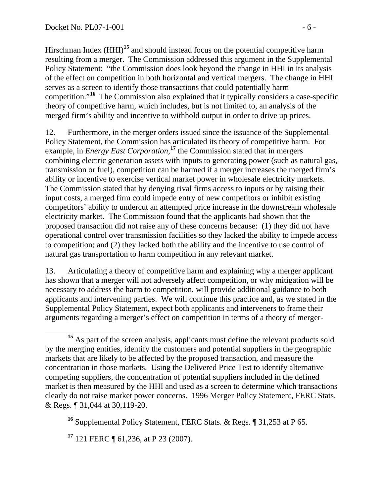Hirschman Index (HHI)<sup>[15](#page-5-0)</sup> and should instead focus on the potential competitive harm resulting from a merger. The Commission addressed this argument in the Supplemental Policy Statement: "the Commission does look beyond the change in HHI in its analysis of the effect on competition in both horizontal and vertical mergers. The change in HHI serves as a screen to identify those transactions that could potentially harm competition."**[16](#page-5-1)** The Commission also explained that it typically considers a case-specific theory of competitive harm, which includes, but is not limited to, an analysis of the merged firm's ability and incentive to withhold output in order to drive up prices.

12. Furthermore, in the merger orders issued since the issuance of the Supplemental Policy Statement, the Commission has articulated its theory of competitive harm. For example, in *Energy East Corporation*,<sup>[1](#page-5-2)7</sup> the Commission stated that in mergers combining electric generation assets with inputs to generating power (such as natural gas, transmission or fuel), competition can be harmed if a merger increases the merged firm's ability or incentive to exercise vertical market power in wholesale electricity markets. The Commission stated that by denying rival firms access to inputs or by raising their input costs, a merged firm could impede entry of new competitors or inhibit existing competitors' ability to undercut an attempted price increase in the downstream wholesale electricity market. The Commission found that the applicants had shown that the proposed transaction did not raise any of these concerns because: (1) they did not have operational control over transmission facilities so they lacked the ability to impede access to competition; and (2) they lacked both the ability and the incentive to use control of natural gas transportation to harm competition in any relevant market.

13. Articulating a theory of competitive harm and explaining why a merger applicant has shown that a merger will not adversely affect competition, or why mitigation will be necessary to address the harm to competition, will provide additional guidance to both applicants and intervening parties. We will continue this practice and, as we stated in the Supplemental Policy Statement, expect both applicants and interveners to frame their arguments regarding a merger's effect on competition in terms of a theory of merger-

<span id="page-5-2"></span>**<sup>17</sup>** 121 FERC ¶ 61,236, at P 23 (2007).

<span id="page-5-0"></span><sup>&</sup>lt;sup>15</sup> As part of the screen analysis, applicants must define the relevant products sold by the merging entities, identify the customers and potential suppliers in the geographic markets that are likely to be affected by the proposed transaction, and measure the concentration in those markets. Using the Delivered Price Test to identify alternative competing suppliers, the concentration of potential suppliers included in the defined market is then measured by the HHI and used as a screen to determine which transactions clearly do not raise market power concerns. 1996 Merger Policy Statement, FERC Stats. & Regs. ¶ 31,044 at 30,119-20.

<span id="page-5-1"></span>**<sup>16</sup>** Supplemental Policy Statement, FERC Stats. & Regs. ¶ 31,253 at P 65.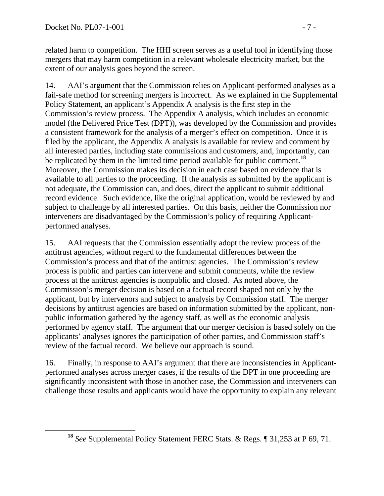related harm to competition. The HHI screen serves as a useful tool in identifying those mergers that may harm competition in a relevant wholesale electricity market, but the extent of our analysis goes beyond the screen.

14. AAI's argument that the Commission relies on Applicant-performed analyses as a fail-safe method for screening mergers is incorrect. As we explained in the Supplemental Policy Statement, an applicant's Appendix A analysis is the first step in the Commission's review process. The Appendix A analysis, which includes an economic model (the Delivered Price Test (DPT)), was developed by the Commission and provides a consistent framework for the analysis of a merger's effect on competition. Once it is filed by the applicant, the Appendix A analysis is available for review and comment by all interested parties, including state commissions and customers, and, importantly, can be replicated by them in the limited time period available for public comment.**[18](#page-6-0)** Moreover, the Commission makes its decision in each case based on evidence that is available to all parties to the proceeding. If the analysis as submitted by the applicant is not adequate, the Commission can, and does, direct the applicant to submit additional record evidence. Such evidence, like the original application, would be reviewed by and subject to challenge by all interested parties. On this basis, neither the Commission nor interveners are disadvantaged by the Commission's policy of requiring Applicantperformed analyses.

15. AAI requests that the Commission essentially adopt the review process of the antitrust agencies, without regard to the fundamental differences between the Commission's process and that of the antitrust agencies. The Commission's review process is public and parties can intervene and submit comments, while the review process at the antitrust agencies is nonpublic and closed. As noted above, the Commission's merger decision is based on a factual record shaped not only by the applicant, but by intervenors and subject to analysis by Commission staff. The merger decisions by antitrust agencies are based on information submitted by the applicant, nonpublic information gathered by the agency staff, as well as the economic analysis performed by agency staff. The argument that our merger decision is based solely on the applicants' analyses ignores the participation of other parties, and Commission staff's review of the factual record. We believe our approach is sound.

16. Finally, in response to AAI's argument that there are inconsistencies in Applicantperformed analyses across merger cases, if the results of the DPT in one proceeding are significantly inconsistent with those in another case, the Commission and interveners can challenge those results and applicants would have the opportunity to explain any relevant

<span id="page-6-0"></span>**<sup>18</sup>** *See* Supplemental Policy Statement FERC Stats. & Regs. ¶ 31,253 at P 69, 71.